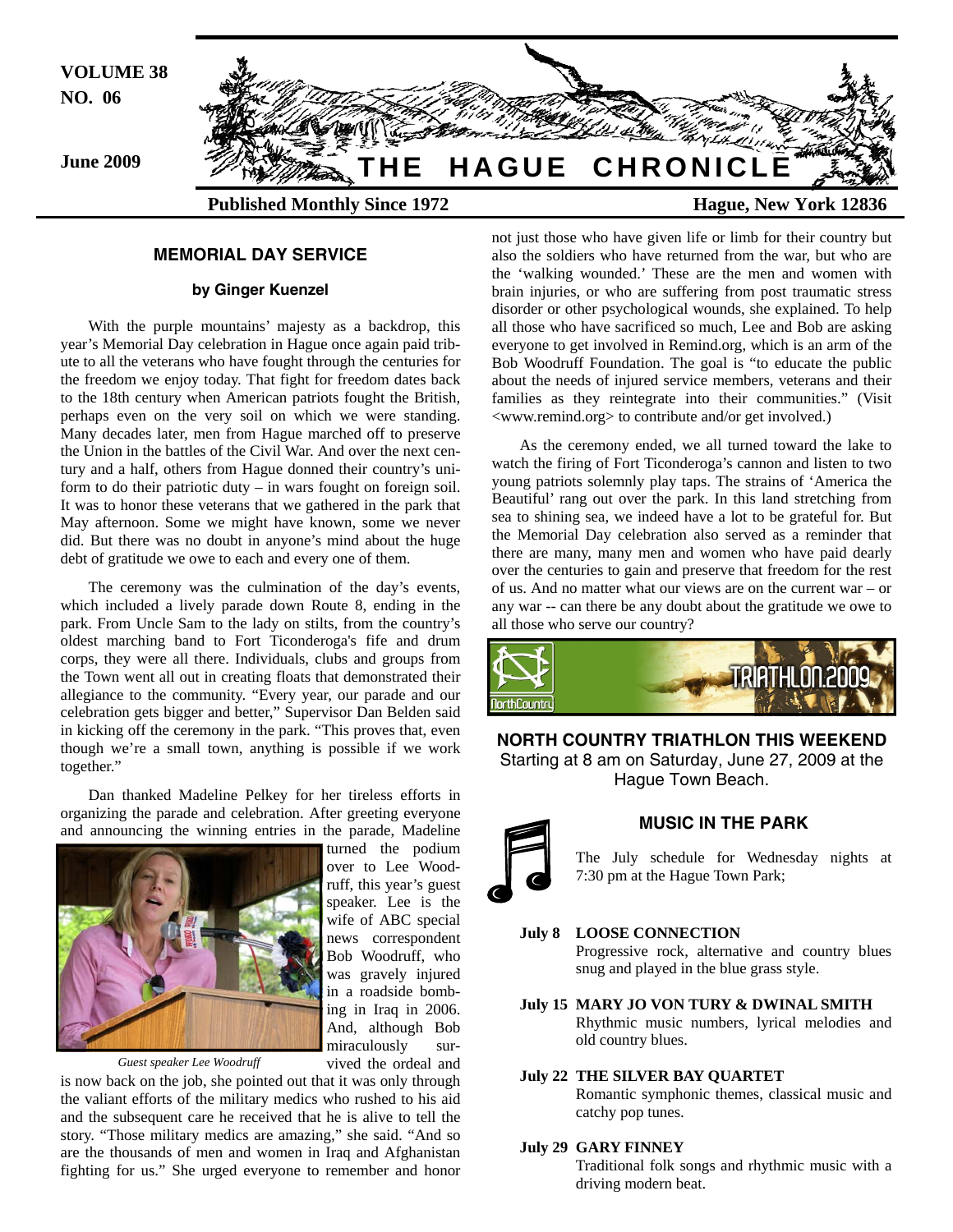

# **MEMORIAL DAY SERVICE**

#### **by Ginger Kuenzel**

With the purple mountains' majesty as a backdrop, this year's Memorial Day celebration in Hague once again paid tribute to all the veterans who have fought through the centuries for the freedom we enjoy today. That fight for freedom dates back to the 18th century when American patriots fought the British, perhaps even on the very soil on which we were standing. Many decades later, men from Hague marched off to preserve the Union in the battles of the Civil War. And over the next century and a half, others from Hague donned their country's uniform to do their patriotic duty – in wars fought on foreign soil. It was to honor these veterans that we gathered in the park that May afternoon. Some we might have known, some we never did. But there was no doubt in anyone's mind about the huge debt of gratitude we owe to each and every one of them.

The ceremony was the culmination of the day's events, which included a lively parade down Route 8, ending in the park. From Uncle Sam to the lady on stilts, from the country's oldest marching band to Fort Ticonderoga's fife and drum corps, they were all there. Individuals, clubs and groups from the Town went all out in creating floats that demonstrated their allegiance to the community. "Every year, our parade and our celebration gets bigger and better," Supervisor Dan Belden said in kicking off the ceremony in the park. "This proves that, even though we're a small town, anything is possible if we work together."

Dan thanked Madeline Pelkey for her tireless efforts in organizing the parade and celebration. After greeting everyone and announcing the winning entries in the parade, Madeline turned the podium



*Guest speaker Lee Woodruff* 

vived the ordeal and is now back on the job, she pointed out that it was only through the valiant efforts of the military medics who rushed to his aid and the subsequent care he received that he is alive to tell the story. "Those military medics are amazing," she said. "And so are the thousands of men and women in Iraq and Afghanistan fighting for us." She urged everyone to remember and honor not just those who have given life or limb for their country but also the soldiers who have returned from the war, but who are the 'walking wounded.' These are the men and women with brain injuries, or who are suffering from post traumatic stress disorder or other psychological wounds, she explained. To help all those who have sacrificed so much, Lee and Bob are asking everyone to get involved in Remind.org, which is an arm of the Bob Woodruff Foundation. The goal is "to educate the public about the needs of injured service members, veterans and their families as they reintegrate into their communities." (Visit <www.remind.org> to contribute and/or get involved.)

As the ceremony ended, we all turned toward the lake to watch the firing of Fort Ticonderoga's cannon and listen to two young patriots solemnly play taps. The strains of 'America the Beautiful' rang out over the park. In this land stretching from sea to shining sea, we indeed have a lot to be grateful for. But the Memorial Day celebration also served as a reminder that there are many, many men and women who have paid dearly over the centuries to gain and preserve that freedom for the rest of us. And no matter what our views are on the current war – or any war -- can there be any doubt about the gratitude we owe to all those who serve our country?



**NORTH COUNTRY TRIATHLON THIS WEEKEND**  Starting at 8 am on Saturday, June 27, 2009 at the Hague Town Beach.



over to Lee Wood-

speaker. Lee is the wife of ABC special

Bob Woodruff, who was gravely injured in a roadside bomb-

### **MUSIC IN THE PARK**

 The July schedule for Wednesday nights at 7:30 pm at the Hague Town Park;

# **July 8 LOOSE CONNECTION**

 Progressive rock, alternative and country blues snug and played in the blue grass style.

**July 15 MARY JO VON TURY & DWINAL SMITH**  Rhythmic music numbers, lyrical melodies and old country blues.

#### **July 22 THE SILVER BAY QUARTET**

 Romantic symphonic themes, classical music and catchy pop tunes.

# **July 29 GARY FINNEY**

 Traditional folk songs and rhythmic music with a driving modern beat.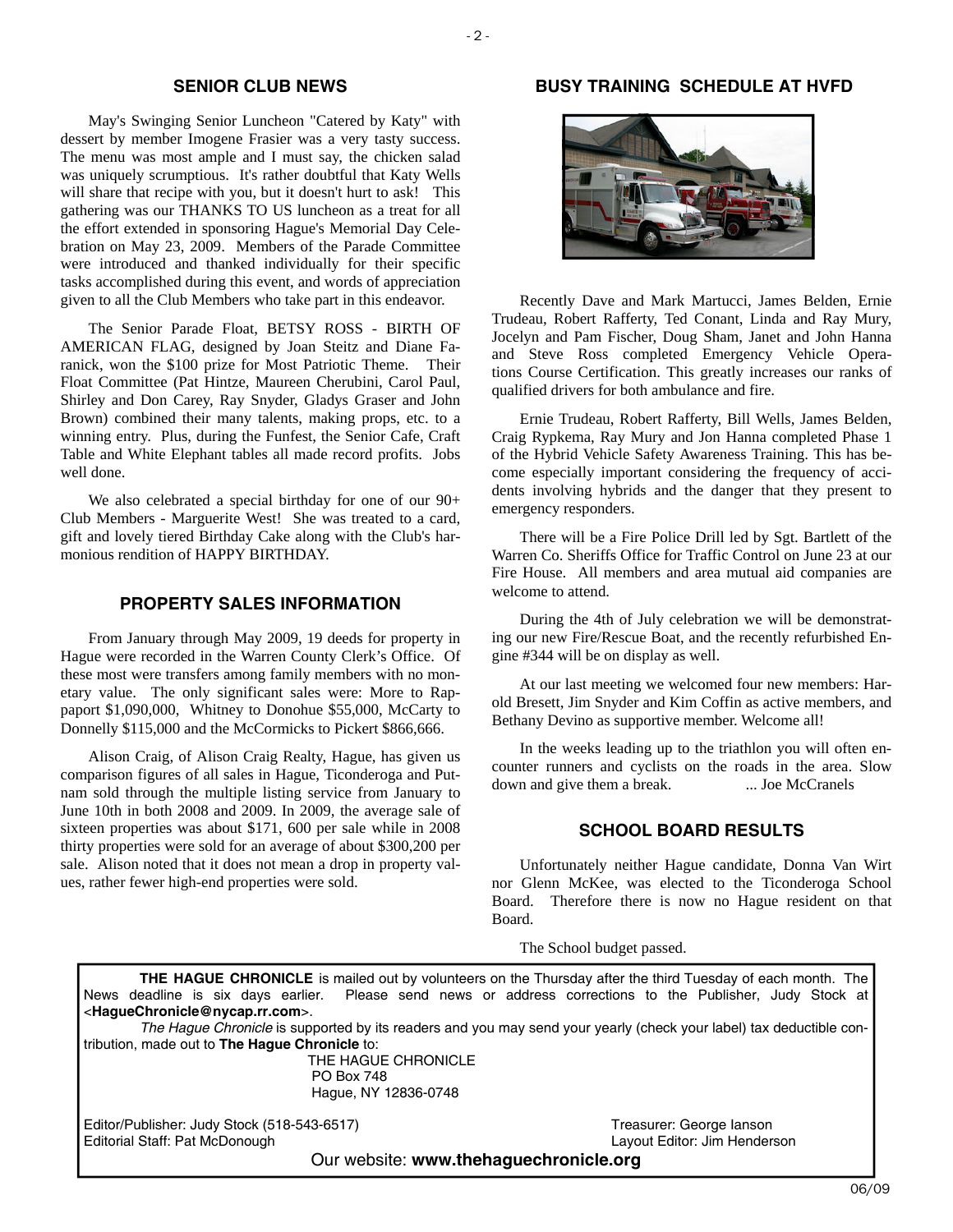# **SENIOR CLUB NEWS**

May's Swinging Senior Luncheon "Catered by Katy" with dessert by member Imogene Frasier was a very tasty success. The menu was most ample and I must say, the chicken salad was uniquely scrumptious. It's rather doubtful that Katy Wells will share that recipe with you, but it doesn't hurt to ask! This gathering was our THANKS TO US luncheon as a treat for all the effort extended in sponsoring Hague's Memorial Day Celebration on May 23, 2009. Members of the Parade Committee were introduced and thanked individually for their specific tasks accomplished during this event, and words of appreciation given to all the Club Members who take part in this endeavor.

The Senior Parade Float, BETSY ROSS - BIRTH OF AMERICAN FLAG, designed by Joan Steitz and Diane Faranick, won the \$100 prize for Most Patriotic Theme. Their Float Committee (Pat Hintze, Maureen Cherubini, Carol Paul, Shirley and Don Carey, Ray Snyder, Gladys Graser and John Brown) combined their many talents, making props, etc. to a winning entry. Plus, during the Funfest, the Senior Cafe, Craft Table and White Elephant tables all made record profits. Jobs well done.

We also celebrated a special birthday for one of our  $90+$ Club Members - Marguerite West! She was treated to a card, gift and lovely tiered Birthday Cake along with the Club's harmonious rendition of HAPPY BIRTHDAY.

## **PROPERTY SALES INFORMATION**

From January through May 2009, 19 deeds for property in Hague were recorded in the Warren County Clerk's Office. Of these most were transfers among family members with no monetary value. The only significant sales were: More to Rappaport \$1,090,000, Whitney to Donohue \$55,000, McCarty to Donnelly \$115,000 and the McCormicks to Pickert \$866,666.

Alison Craig, of Alison Craig Realty, Hague, has given us comparison figures of all sales in Hague, Ticonderoga and Putnam sold through the multiple listing service from January to June 10th in both 2008 and 2009. In 2009, the average sale of sixteen properties was about \$171, 600 per sale while in 2008 thirty properties were sold for an average of about \$300,200 per sale. Alison noted that it does not mean a drop in property values, rather fewer high-end properties were sold.

# **BUSY TRAINING SCHEDULE AT HVFD**



Recently Dave and Mark Martucci, James Belden, Ernie Trudeau, Robert Rafferty, Ted Conant, Linda and Ray Mury, Jocelyn and Pam Fischer, Doug Sham, Janet and John Hanna and Steve Ross completed Emergency Vehicle Operations Course Certification. This greatly increases our ranks of qualified drivers for both ambulance and fire.

Ernie Trudeau, Robert Rafferty, Bill Wells, James Belden, Craig Rypkema, Ray Mury and Jon Hanna completed Phase 1 of the Hybrid Vehicle Safety Awareness Training. This has become especially important considering the frequency of accidents involving hybrids and the danger that they present to emergency responders.

There will be a Fire Police Drill led by Sgt. Bartlett of the Warren Co. Sheriffs Office for Traffic Control on June 23 at our Fire House. All members and area mutual aid companies are welcome to attend.

During the 4th of July celebration we will be demonstrating our new Fire/Rescue Boat, and the recently refurbished Engine #344 will be on display as well.

At our last meeting we welcomed four new members: Harold Bresett, Jim Snyder and Kim Coffin as active members, and Bethany Devino as supportive member. Welcome all!

In the weeks leading up to the triathlon you will often encounter runners and cyclists on the roads in the area. Slow down and give them a break. ... Joe McCranels

# **SCHOOL BOARD RESULTS**

Unfortunately neither Hague candidate, Donna Van Wirt nor Glenn McKee, was elected to the Ticonderoga School Board. Therefore there is now no Hague resident on that Board.

The School budget passed.

**THE HAGUE CHRONICLE** is mailed out by volunteers on the Thursday after the third Tuesday of each month. The News deadline is six days earlier. Please send news or address corrections to the Publisher, Judy Stock at <**HagueChronicle@nycap.rr.com**>.

*The Hague Chronicle* is supported by its readers and you may send your yearly (check your label) tax deductible contribution, made out to **The Hague Chronicle** to:

 THE HAGUE CHRONICLE PO Box 748 Hague, NY 12836-0748

Editor/Publisher: Judy Stock (518-543-6517) Treasurer: George Ianson Editorial Staff: Pat McDonough Layout Editor: Jim Henderson

Our website: **www.thehaguechronicle.org**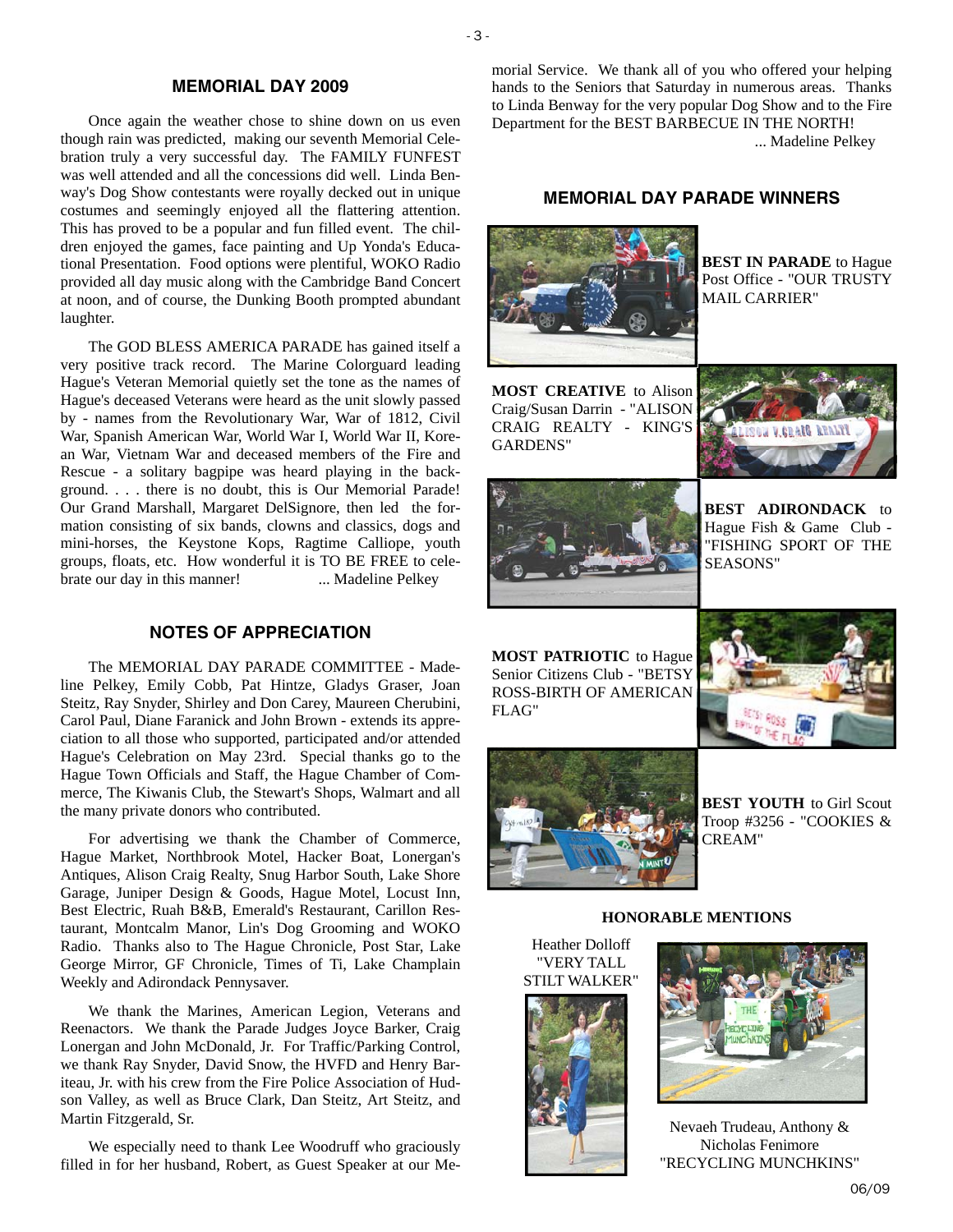### **MEMORIAL DAY 2009**

 $-3$  -

Once again the weather chose to shine down on us even though rain was predicted, making our seventh Memorial Celebration truly a very successful day. The FAMILY FUNFEST was well attended and all the concessions did well. Linda Benway's Dog Show contestants were royally decked out in unique costumes and seemingly enjoyed all the flattering attention. This has proved to be a popular and fun filled event. The children enjoyed the games, face painting and Up Yonda's Educational Presentation. Food options were plentiful, WOKO Radio provided all day music along with the Cambridge Band Concert at noon, and of course, the Dunking Booth prompted abundant laughter.

The GOD BLESS AMERICA PARADE has gained itself a very positive track record. The Marine Colorguard leading Hague's Veteran Memorial quietly set the tone as the names of Hague's deceased Veterans were heard as the unit slowly passed by - names from the Revolutionary War, War of 1812, Civil War, Spanish American War, World War I, World War II, Korean War, Vietnam War and deceased members of the Fire and Rescue - a solitary bagpipe was heard playing in the background. . . . there is no doubt, this is Our Memorial Parade! Our Grand Marshall, Margaret DelSignore, then led the formation consisting of six bands, clowns and classics, dogs and mini-horses, the Keystone Kops, Ragtime Calliope, youth groups, floats, etc. How wonderful it is TO BE FREE to celebrate our day in this manner! ... Madeline Pelkey

# **NOTES OF APPRECIATION**

The MEMORIAL DAY PARADE COMMITTEE - Madeline Pelkey, Emily Cobb, Pat Hintze, Gladys Graser, Joan Steitz, Ray Snyder, Shirley and Don Carey, Maureen Cherubini, Carol Paul, Diane Faranick and John Brown - extends its appreciation to all those who supported, participated and/or attended Hague's Celebration on May 23rd. Special thanks go to the Hague Town Officials and Staff, the Hague Chamber of Commerce, The Kiwanis Club, the Stewart's Shops, Walmart and all the many private donors who contributed.

For advertising we thank the Chamber of Commerce, Hague Market, Northbrook Motel, Hacker Boat, Lonergan's Antiques, Alison Craig Realty, Snug Harbor South, Lake Shore Garage, Juniper Design & Goods, Hague Motel, Locust Inn, Best Electric, Ruah B&B, Emerald's Restaurant, Carillon Restaurant, Montcalm Manor, Lin's Dog Grooming and WOKO Radio. Thanks also to The Hague Chronicle, Post Star, Lake George Mirror, GF Chronicle, Times of Ti, Lake Champlain Weekly and Adirondack Pennysaver.

We thank the Marines, American Legion, Veterans and Reenactors. We thank the Parade Judges Joyce Barker, Craig Lonergan and John McDonald, Jr. For Traffic/Parking Control, we thank Ray Snyder, David Snow, the HVFD and Henry Bariteau, Jr. with his crew from the Fire Police Association of Hudson Valley, as well as Bruce Clark, Dan Steitz, Art Steitz, and Martin Fitzgerald, Sr.

We especially need to thank Lee Woodruff who graciously filled in for her husband, Robert, as Guest Speaker at our Memorial Service. We thank all of you who offered your helping hands to the Seniors that Saturday in numerous areas. Thanks to Linda Benway for the very popular Dog Show and to the Fire Department for the BEST BARBECUE IN THE NORTH! ... Madeline Pelkey

# **MEMORIAL DAY PARADE WINNERS**



**BEST IN PARADE** to Hague Post Office - "OUR TRUSTY MAIL CARRIER"

**MOST CREATIVE** to Alison Craig/Susan Darrin - "ALISON CRAIG REALTY - KING'S GARDENS"





**BEST ADIRONDACK** to Hague Fish & Game Club - "FISHING SPORT OF THE SEASONS"

**MOST PATRIOTIC** to Hague Senior Citizens Club - "BETSY ROSS-BIRTH OF AMERICAN FLAG"





**BEST YOUTH** to Girl Scout Troop #3256 - "COOKIES & CREAM"



**HONORABLE MENTIONS** 

"VERY TALL STILT WALKER"





Nevaeh Trudeau, Anthony & Nicholas Fenimore "RECYCLING MUNCHKINS"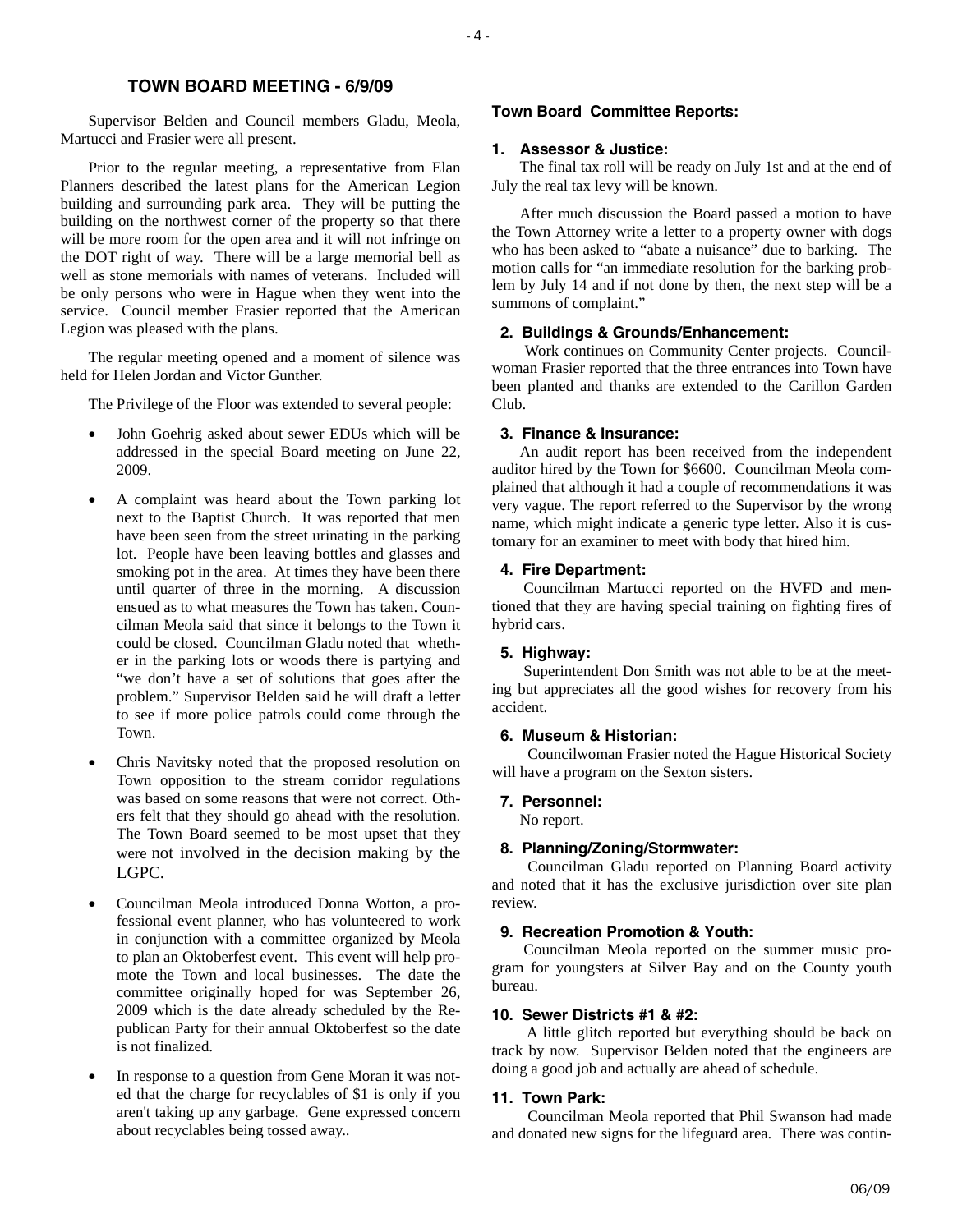# **TOWN BOARD MEETING - 6/9/09**

Supervisor Belden and Council members Gladu, Meola, Martucci and Frasier were all present.

Prior to the regular meeting, a representative from Elan Planners described the latest plans for the American Legion building and surrounding park area. They will be putting the building on the northwest corner of the property so that there will be more room for the open area and it will not infringe on the DOT right of way. There will be a large memorial bell as well as stone memorials with names of veterans. Included will be only persons who were in Hague when they went into the service. Council member Frasier reported that the American Legion was pleased with the plans.

The regular meeting opened and a moment of silence was held for Helen Jordan and Victor Gunther.

The Privilege of the Floor was extended to several people:

- John Goehrig asked about sewer EDUs which will be addressed in the special Board meeting on June 22, 2009.
- A complaint was heard about the Town parking lot next to the Baptist Church. It was reported that men have been seen from the street urinating in the parking lot. People have been leaving bottles and glasses and smoking pot in the area. At times they have been there until quarter of three in the morning. A discussion ensued as to what measures the Town has taken. Councilman Meola said that since it belongs to the Town it could be closed. Councilman Gladu noted that whether in the parking lots or woods there is partying and "we don't have a set of solutions that goes after the problem." Supervisor Belden said he will draft a letter to see if more police patrols could come through the Town.
- Chris Navitsky noted that the proposed resolution on Town opposition to the stream corridor regulations was based on some reasons that were not correct. Others felt that they should go ahead with the resolution. The Town Board seemed to be most upset that they were not involved in the decision making by the LGPC.
- Councilman Meola introduced Donna Wotton, a professional event planner, who has volunteered to work in conjunction with a committee organized by Meola to plan an Oktoberfest event. This event will help promote the Town and local businesses. The date the committee originally hoped for was September 26, 2009 which is the date already scheduled by the Republican Party for their annual Oktoberfest so the date is not finalized.
- In response to a question from Gene Moran it was noted that the charge for recyclables of \$1 is only if you aren't taking up any garbage. Gene expressed concern about recyclables being tossed away..

#### **Town Board Committee Reports:**

#### **1. Assessor & Justice:**

The final tax roll will be ready on July 1st and at the end of July the real tax levy will be known.

After much discussion the Board passed a motion to have the Town Attorney write a letter to a property owner with dogs who has been asked to "abate a nuisance" due to barking. The motion calls for "an immediate resolution for the barking problem by July 14 and if not done by then, the next step will be a summons of complaint."

#### **2. Buildings & Grounds/Enhancement:**

 Work continues on Community Center projects. Councilwoman Frasier reported that the three entrances into Town have been planted and thanks are extended to the Carillon Garden Club.

#### **3. Finance & Insurance:**

An audit report has been received from the independent auditor hired by the Town for \$6600. Councilman Meola complained that although it had a couple of recommendations it was very vague. The report referred to the Supervisor by the wrong name, which might indicate a generic type letter. Also it is customary for an examiner to meet with body that hired him.

#### **4. Fire Department:**

 Councilman Martucci reported on the HVFD and mentioned that they are having special training on fighting fires of hybrid cars.

#### **5. Highway:**

 Superintendent Don Smith was not able to be at the meeting but appreciates all the good wishes for recovery from his accident.

#### **6. Museum & Historian:**

 Councilwoman Frasier noted the Hague Historical Society will have a program on the Sexton sisters.

#### **7. Personnel:**

No report.

#### **8. Planning/Zoning/Stormwater:**

 Councilman Gladu reported on Planning Board activity and noted that it has the exclusive jurisdiction over site plan review.

#### **9. Recreation Promotion & Youth:**

 Councilman Meola reported on the summer music program for youngsters at Silver Bay and on the County youth bureau.

#### **10. Sewer Districts #1 & #2:**

 A little glitch reported but everything should be back on track by now. Supervisor Belden noted that the engineers are doing a good job and actually are ahead of schedule.

#### **11. Town Park:**

 Councilman Meola reported that Phil Swanson had made and donated new signs for the lifeguard area. There was contin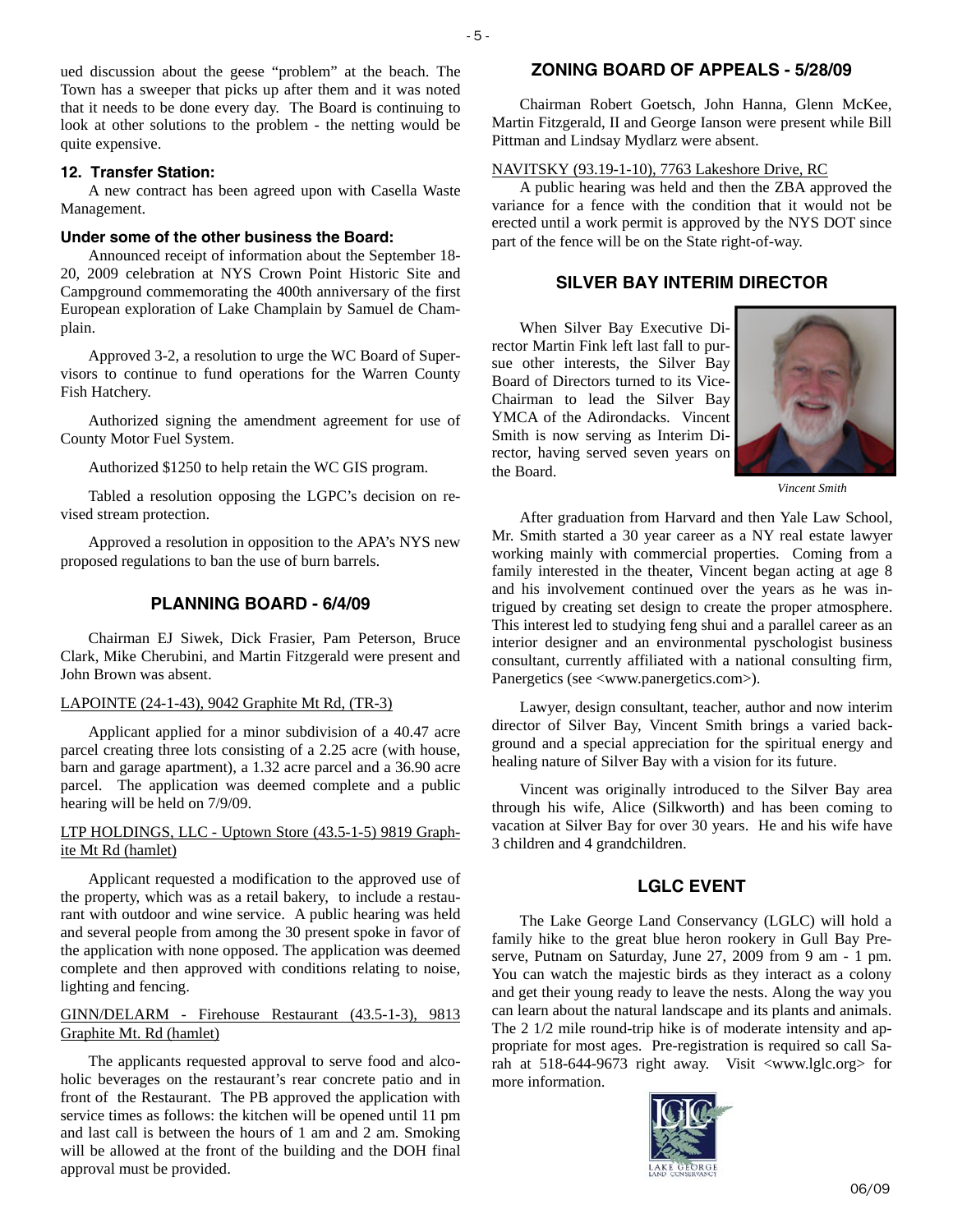ued discussion about the geese "problem" at the beach. The Town has a sweeper that picks up after them and it was noted that it needs to be done every day. The Board is continuing to look at other solutions to the problem - the netting would be quite expensive.

#### **12. Transfer Station:**

A new contract has been agreed upon with Casella Waste Management.

#### **Under some of the other business the Board:**

Announced receipt of information about the September 18- 20, 2009 celebration at NYS Crown Point Historic Site and Campground commemorating the 400th anniversary of the first European exploration of Lake Champlain by Samuel de Champlain.

Approved 3-2, a resolution to urge the WC Board of Supervisors to continue to fund operations for the Warren County Fish Hatchery.

Authorized signing the amendment agreement for use of County Motor Fuel System.

Authorized \$1250 to help retain the WC GIS program.

Tabled a resolution opposing the LGPC's decision on revised stream protection.

Approved a resolution in opposition to the APA's NYS new proposed regulations to ban the use of burn barrels.

#### **PLANNING BOARD - 6/4/09**

Chairman EJ Siwek, Dick Frasier, Pam Peterson, Bruce Clark, Mike Cherubini, and Martin Fitzgerald were present and John Brown was absent.

#### LAPOINTE (24-1-43), 9042 Graphite Mt Rd, (TR-3)

Applicant applied for a minor subdivision of a 40.47 acre parcel creating three lots consisting of a 2.25 acre (with house, barn and garage apartment), a 1.32 acre parcel and a 36.90 acre parcel. The application was deemed complete and a public hearing will be held on 7/9/09.

## LTP HOLDINGS, LLC - Uptown Store (43.5-1-5) 9819 Graphite Mt Rd (hamlet)

Applicant requested a modification to the approved use of the property, which was as a retail bakery, to include a restaurant with outdoor and wine service. A public hearing was held and several people from among the 30 present spoke in favor of the application with none opposed. The application was deemed complete and then approved with conditions relating to noise, lighting and fencing.

### GINN/DELARM - Firehouse Restaurant (43.5-1-3), 9813 Graphite Mt. Rd (hamlet)

The applicants requested approval to serve food and alcoholic beverages on the restaurant's rear concrete patio and in front of the Restaurant. The PB approved the application with service times as follows: the kitchen will be opened until 11 pm and last call is between the hours of 1 am and 2 am. Smoking will be allowed at the front of the building and the DOH final approval must be provided.

#### **ZONING BOARD OF APPEALS - 5/28/09**

Chairman Robert Goetsch, John Hanna, Glenn McKee, Martin Fitzgerald, II and George Ianson were present while Bill Pittman and Lindsay Mydlarz were absent.

#### NAVITSKY (93.19-1-10), 7763 Lakeshore Drive, RC

A public hearing was held and then the ZBA approved the variance for a fence with the condition that it would not be erected until a work permit is approved by the NYS DOT since part of the fence will be on the State right-of-way.

# **SILVER BAY INTERIM DIRECTOR**

When Silver Bay Executive Director Martin Fink left last fall to pursue other interests, the Silver Bay Board of Directors turned to its Vice-Chairman to lead the Silver Bay YMCA of the Adirondacks. Vincent Smith is now serving as Interim Director, having served seven years on the Board.



*Vincent Smith* 

After graduation from Harvard and then Yale Law School, Mr. Smith started a 30 year career as a NY real estate lawyer working mainly with commercial properties. Coming from a family interested in the theater, Vincent began acting at age 8 and his involvement continued over the years as he was intrigued by creating set design to create the proper atmosphere. This interest led to studying feng shui and a parallel career as an interior designer and an environmental pyschologist business consultant, currently affiliated with a national consulting firm, Panergetics (see <www.panergetics.com>).

Lawyer, design consultant, teacher, author and now interim director of Silver Bay, Vincent Smith brings a varied background and a special appreciation for the spiritual energy and healing nature of Silver Bay with a vision for its future.

Vincent was originally introduced to the Silver Bay area through his wife, Alice (Silkworth) and has been coming to vacation at Silver Bay for over 30 years. He and his wife have 3 children and 4 grandchildren.

#### **LGLC EVENT**

The Lake George Land Conservancy (LGLC) will hold a family hike to the great blue heron rookery in Gull Bay Preserve, Putnam on Saturday, June 27, 2009 from 9 am - 1 pm. You can watch the majestic birds as they interact as a colony and get their young ready to leave the nests. Along the way you can learn about the natural landscape and its plants and animals. The 2 1/2 mile round-trip hike is of moderate intensity and appropriate for most ages. Pre-registration is required so call Sarah at 518-644-9673 right away. Visit <www.lglc.org> for more information.

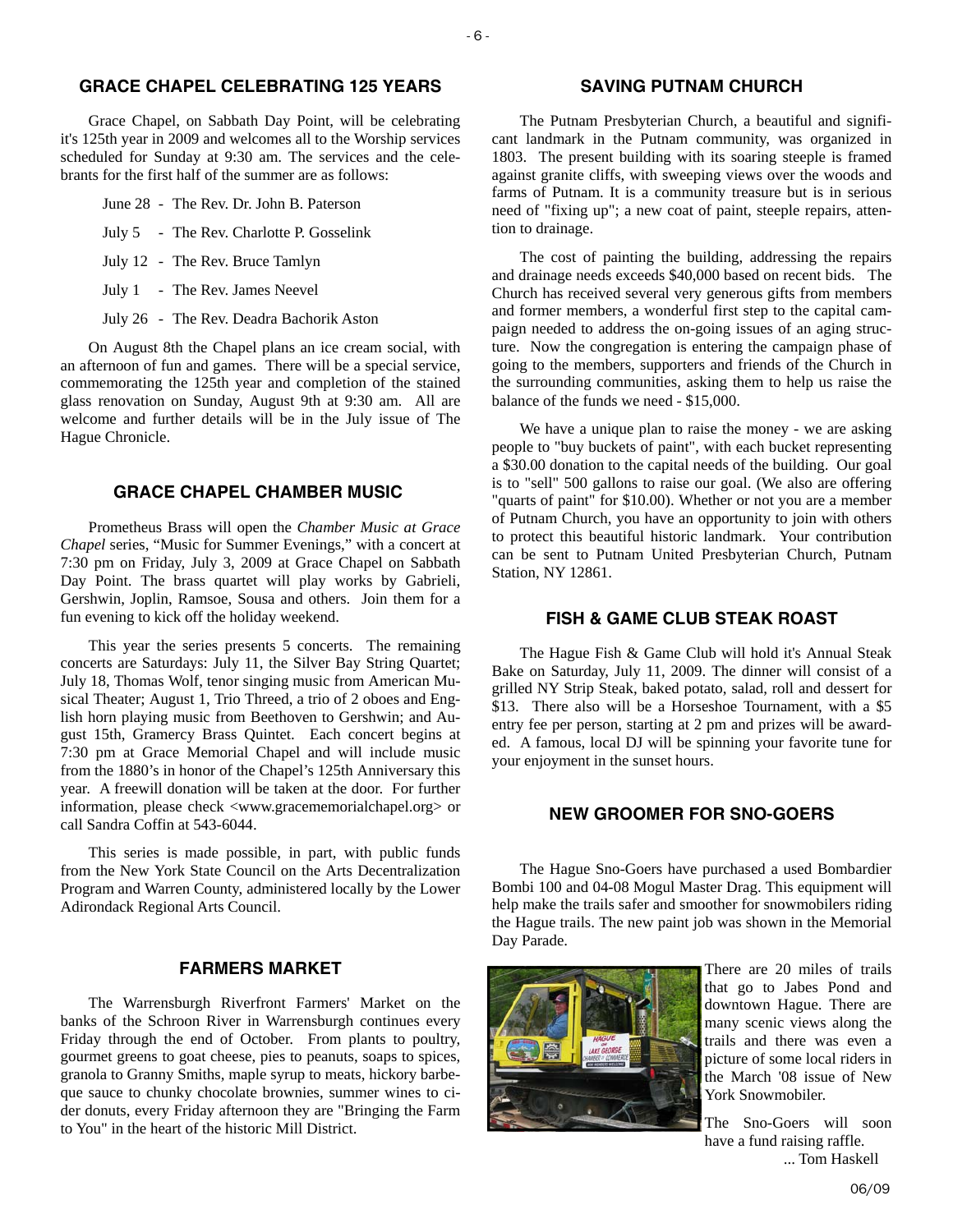# **GRACE CHAPEL CELEBRATING 125 YEARS**

Grace Chapel, on Sabbath Day Point, will be celebrating it's 125th year in 2009 and welcomes all to the Worship services scheduled for Sunday at 9:30 am. The services and the celebrants for the first half of the summer are as follows:

- June 28 The Rev. Dr. John B. Paterson
- July 5 The Rev. Charlotte P. Gosselink
- July 12 The Rev. Bruce Tamlyn
- July 1 The Rev. James Neevel
- July 26 The Rev. Deadra Bachorik Aston

On August 8th the Chapel plans an ice cream social, with an afternoon of fun and games. There will be a special service, commemorating the 125th year and completion of the stained glass renovation on Sunday, August 9th at 9:30 am. All are welcome and further details will be in the July issue of The Hague Chronicle.

#### **GRACE CHAPEL CHAMBER MUSIC**

Prometheus Brass will open the *Chamber Music at Grace Chapel* series, "Music for Summer Evenings," with a concert at 7:30 pm on Friday, July 3, 2009 at Grace Chapel on Sabbath Day Point. The brass quartet will play works by Gabrieli, Gershwin, Joplin, Ramsoe, Sousa and others. Join them for a fun evening to kick off the holiday weekend.

This year the series presents 5 concerts. The remaining concerts are Saturdays: July 11, the Silver Bay String Quartet; July 18, Thomas Wolf, tenor singing music from American Musical Theater; August 1, Trio Threed, a trio of 2 oboes and English horn playing music from Beethoven to Gershwin; and August 15th, Gramercy Brass Quintet. Each concert begins at 7:30 pm at Grace Memorial Chapel and will include music from the 1880's in honor of the Chapel's 125th Anniversary this year. A freewill donation will be taken at the door. For further information, please check <www.gracememorialchapel.org> or call Sandra Coffin at 543-6044.

This series is made possible, in part, with public funds from the New York State Council on the Arts Decentralization Program and Warren County, administered locally by the Lower Adirondack Regional Arts Council.

#### **FARMERS MARKET**

The Warrensburgh Riverfront Farmers' Market on the banks of the Schroon River in Warrensburgh continues every Friday through the end of October. From plants to poultry, gourmet greens to goat cheese, pies to peanuts, soaps to spices, granola to Granny Smiths, maple syrup to meats, hickory barbeque sauce to chunky chocolate brownies, summer wines to cider donuts, every Friday afternoon they are "Bringing the Farm to You" in the heart of the historic Mill District.

# **SAVING PUTNAM CHURCH**

The Putnam Presbyterian Church, a beautiful and significant landmark in the Putnam community, was organized in 1803. The present building with its soaring steeple is framed against granite cliffs, with sweeping views over the woods and farms of Putnam. It is a community treasure but is in serious need of "fixing up"; a new coat of paint, steeple repairs, attention to drainage.

The cost of painting the building, addressing the repairs and drainage needs exceeds \$40,000 based on recent bids. The Church has received several very generous gifts from members and former members, a wonderful first step to the capital campaign needed to address the on-going issues of an aging structure. Now the congregation is entering the campaign phase of going to the members, supporters and friends of the Church in the surrounding communities, asking them to help us raise the balance of the funds we need - \$15,000.

We have a unique plan to raise the money - we are asking people to "buy buckets of paint", with each bucket representing a \$30.00 donation to the capital needs of the building. Our goal is to "sell" 500 gallons to raise our goal. (We also are offering "quarts of paint" for \$10.00). Whether or not you are a member of Putnam Church, you have an opportunity to join with others to protect this beautiful historic landmark. Your contribution can be sent to Putnam United Presbyterian Church, Putnam Station, NY 12861.

### **FISH & GAME CLUB STEAK ROAST**

The Hague Fish & Game Club will hold it's Annual Steak Bake on Saturday, July 11, 2009. The dinner will consist of a grilled NY Strip Steak, baked potato, salad, roll and dessert for \$13. There also will be a Horseshoe Tournament, with a \$5 entry fee per person, starting at 2 pm and prizes will be awarded. A famous, local DJ will be spinning your favorite tune for your enjoyment in the sunset hours.

#### **NEW GROOMER FOR SNO-GOERS**

The Hague Sno-Goers have purchased a used Bombardier Bombi 100 and 04-08 Mogul Master Drag. This equipment will help make the trails safer and smoother for snowmobilers riding the Hague trails. The new paint job was shown in the Memorial Day Parade.



There are 20 miles of trails that go to Jabes Pond and downtown Hague. There are many scenic views along the trails and there was even a picture of some local riders in the March '08 issue of New York Snowmobiler.

The Sno-Goers will soon have a fund raising raffle. ... Tom Haskell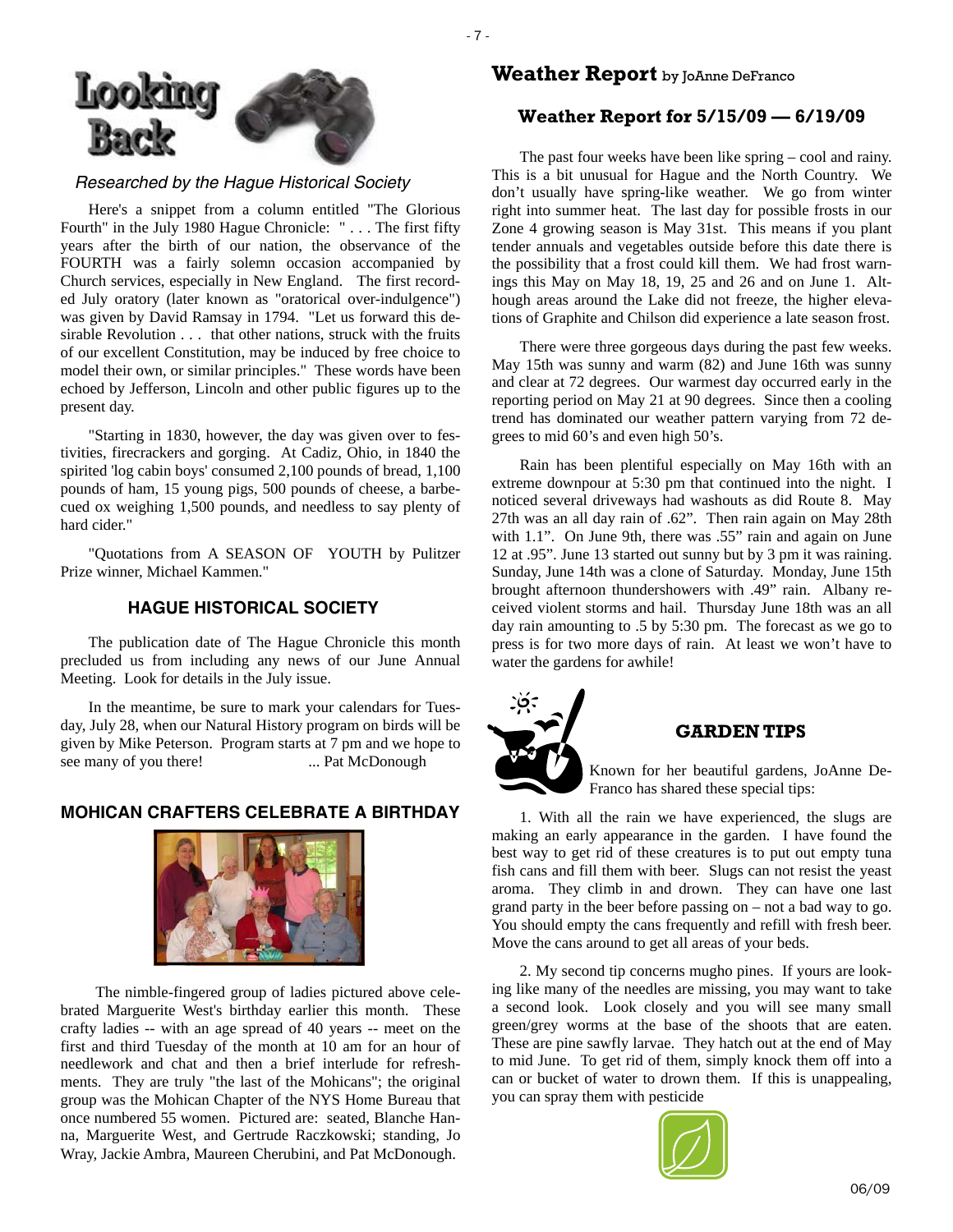

*Researched by the Hague Historical Society* 

- 7 -

Here's a snippet from a column entitled "The Glorious Fourth" in the July 1980 Hague Chronicle: " . . . The first fifty years after the birth of our nation, the observance of the FOURTH was a fairly solemn occasion accompanied by Church services, especially in New England. The first recorded July oratory (later known as "oratorical over-indulgence") was given by David Ramsay in 1794. "Let us forward this desirable Revolution . . . that other nations, struck with the fruits of our excellent Constitution, may be induced by free choice to model their own, or similar principles." These words have been echoed by Jefferson, Lincoln and other public figures up to the present day.

"Starting in 1830, however, the day was given over to festivities, firecrackers and gorging. At Cadiz, Ohio, in 1840 the spirited 'log cabin boys' consumed 2,100 pounds of bread, 1,100 pounds of ham, 15 young pigs, 500 pounds of cheese, a barbecued ox weighing 1,500 pounds, and needless to say plenty of hard cider."

"Quotations from A SEASON OF YOUTH by Pulitzer Prize winner, Michael Kammen."

# **HAGUE HISTORICAL SOCIETY**

The publication date of The Hague Chronicle this month precluded us from including any news of our June Annual Meeting. Look for details in the July issue.

In the meantime, be sure to mark your calendars for Tuesday, July 28, when our Natural History program on birds will be given by Mike Peterson. Program starts at 7 pm and we hope to see many of you there! ... Pat McDonough

# **MOHICAN CRAFTERS CELEBRATE A BIRTHDAY**



The nimble-fingered group of ladies pictured above celebrated Marguerite West's birthday earlier this month. These crafty ladies -- with an age spread of 40 years -- meet on the first and third Tuesday of the month at 10 am for an hour of needlework and chat and then a brief interlude for refreshments. They are truly "the last of the Mohicans"; the original group was the Mohican Chapter of the NYS Home Bureau that once numbered 55 women. Pictured are: seated, Blanche Hanna, Marguerite West, and Gertrude Raczkowski; standing, Jo Wray, Jackie Ambra, Maureen Cherubini, and Pat McDonough.

# **Weather Report** by JoAnne DeFranco

# **Weather Report for 5/15/09 — 6/19/09**

The past four weeks have been like spring – cool and rainy. This is a bit unusual for Hague and the North Country. We don't usually have spring-like weather. We go from winter right into summer heat. The last day for possible frosts in our Zone 4 growing season is May 31st. This means if you plant tender annuals and vegetables outside before this date there is the possibility that a frost could kill them. We had frost warnings this May on May 18, 19, 25 and 26 and on June 1. Although areas around the Lake did not freeze, the higher elevations of Graphite and Chilson did experience a late season frost.

There were three gorgeous days during the past few weeks. May 15th was sunny and warm (82) and June 16th was sunny and clear at 72 degrees. Our warmest day occurred early in the reporting period on May 21 at 90 degrees. Since then a cooling trend has dominated our weather pattern varying from 72 degrees to mid 60's and even high 50's.

Rain has been plentiful especially on May 16th with an extreme downpour at 5:30 pm that continued into the night. I noticed several driveways had washouts as did Route 8. May 27th was an all day rain of .62". Then rain again on May 28th with 1.1". On June 9th, there was .55" rain and again on June 12 at .95". June 13 started out sunny but by 3 pm it was raining. Sunday, June 14th was a clone of Saturday. Monday, June 15th brought afternoon thundershowers with .49" rain. Albany received violent storms and hail. Thursday June 18th was an all day rain amounting to .5 by 5:30 pm. The forecast as we go to press is for two more days of rain. At least we won't have to water the gardens for awhile!



# **GARDEN TIPS**

Known for her beautiful gardens, JoAnne De-Franco has shared these special tips:

1. With all the rain we have experienced, the slugs are making an early appearance in the garden. I have found the best way to get rid of these creatures is to put out empty tuna fish cans and fill them with beer. Slugs can not resist the yeast aroma. They climb in and drown. They can have one last grand party in the beer before passing on – not a bad way to go. You should empty the cans frequently and refill with fresh beer. Move the cans around to get all areas of your beds.

2. My second tip concerns mugho pines. If yours are looking like many of the needles are missing, you may want to take a second look. Look closely and you will see many small green/grey worms at the base of the shoots that are eaten. These are pine sawfly larvae. They hatch out at the end of May to mid June. To get rid of them, simply knock them off into a can or bucket of water to drown them. If this is unappealing, you can spray them with pesticide

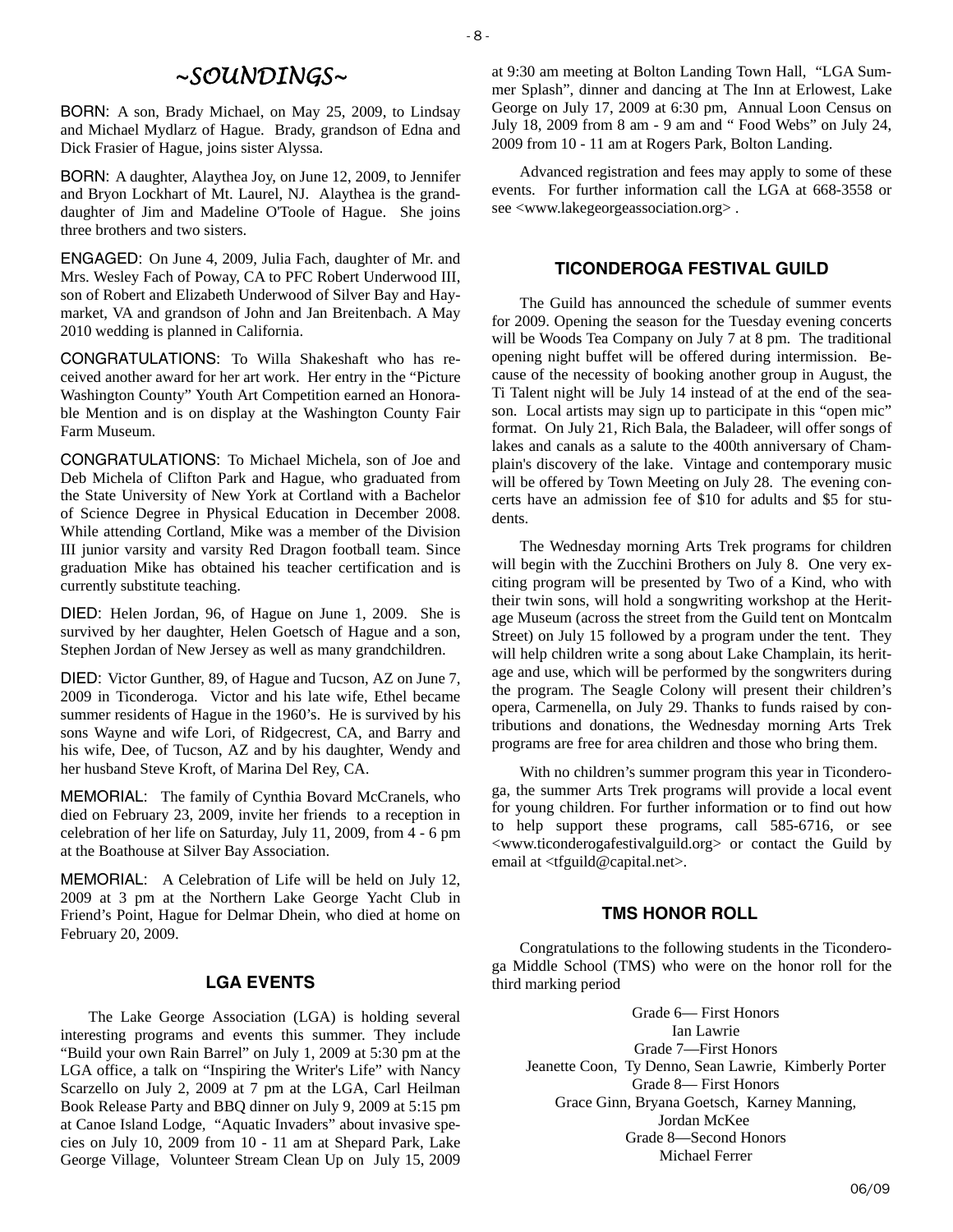# *~SOUNDINGS~*

BORN: A son, Brady Michael, on May 25, 2009, to Lindsay and Michael Mydlarz of Hague. Brady, grandson of Edna and Dick Frasier of Hague, joins sister Alyssa.

BORN: A daughter, Alaythea Joy, on June 12, 2009, to Jennifer and Bryon Lockhart of Mt. Laurel, NJ. Alaythea is the granddaughter of Jim and Madeline O'Toole of Hague. She joins three brothers and two sisters.

ENGAGED: On June 4, 2009, Julia Fach, daughter of Mr. and Mrs. Wesley Fach of Poway, CA to PFC Robert Underwood III, son of Robert and Elizabeth Underwood of Silver Bay and Haymarket, VA and grandson of John and Jan Breitenbach. A May 2010 wedding is planned in California.

CONGRATULATIONS: To Willa Shakeshaft who has received another award for her art work. Her entry in the "Picture Washington County" Youth Art Competition earned an Honorable Mention and is on display at the Washington County Fair Farm Museum.

CONGRATULATIONS: To Michael Michela, son of Joe and Deb Michela of Clifton Park and Hague, who graduated from the State University of New York at Cortland with a Bachelor of Science Degree in Physical Education in December 2008. While attending Cortland, Mike was a member of the Division III junior varsity and varsity Red Dragon football team. Since graduation Mike has obtained his teacher certification and is currently substitute teaching.

DIED: Helen Jordan, 96, of Hague on June 1, 2009. She is survived by her daughter, Helen Goetsch of Hague and a son, Stephen Jordan of New Jersey as well as many grandchildren.

DIED: Victor Gunther, 89, of Hague and Tucson, AZ on June 7, 2009 in Ticonderoga. Victor and his late wife, Ethel became summer residents of Hague in the 1960's. He is survived by his sons Wayne and wife Lori, of Ridgecrest, CA, and Barry and his wife, Dee, of Tucson, AZ and by his daughter, Wendy and her husband Steve Kroft, of Marina Del Rey, CA.

MEMORIAL: The family of Cynthia Bovard McCranels, who died on February 23, 2009, invite her friends to a reception in celebration of her life on Saturday, July 11, 2009, from 4 - 6 pm at the Boathouse at Silver Bay Association.

MEMORIAL: A Celebration of Life will be held on July 12, 2009 at 3 pm at the Northern Lake George Yacht Club in Friend's Point, Hague for Delmar Dhein, who died at home on February 20, 2009.

#### **LGA EVENTS**

The Lake George Association (LGA) is holding several interesting programs and events this summer. They include "Build your own Rain Barrel" on July 1, 2009 at 5:30 pm at the LGA office, a talk on "Inspiring the Writer's Life" with Nancy Scarzello on July 2, 2009 at 7 pm at the LGA, Carl Heilman Book Release Party and BBQ dinner on July 9, 2009 at 5:15 pm at Canoe Island Lodge, "Aquatic Invaders" about invasive species on July 10, 2009 from 10 - 11 am at Shepard Park, Lake George Village, Volunteer Stream Clean Up on July 15, 2009

at 9:30 am meeting at Bolton Landing Town Hall, "LGA Summer Splash", dinner and dancing at The Inn at Erlowest, Lake George on July 17, 2009 at 6:30 pm, Annual Loon Census on July 18, 2009 from 8 am - 9 am and " Food Webs" on July 24, 2009 from 10 - 11 am at Rogers Park, Bolton Landing.

Advanced registration and fees may apply to some of these events. For further information call the LGA at 668-3558 or see <www.lakegeorgeassociation.org> .

# **TICONDEROGA FESTIVAL GUILD**

The Guild has announced the schedule of summer events for 2009. Opening the season for the Tuesday evening concerts will be Woods Tea Company on July 7 at 8 pm. The traditional opening night buffet will be offered during intermission. Because of the necessity of booking another group in August, the Ti Talent night will be July 14 instead of at the end of the season. Local artists may sign up to participate in this "open mic" format. On July 21, Rich Bala, the Baladeer, will offer songs of lakes and canals as a salute to the 400th anniversary of Champlain's discovery of the lake. Vintage and contemporary music will be offered by Town Meeting on July 28. The evening concerts have an admission fee of \$10 for adults and \$5 for students.

The Wednesday morning Arts Trek programs for children will begin with the Zucchini Brothers on July 8. One very exciting program will be presented by Two of a Kind, who with their twin sons, will hold a songwriting workshop at the Heritage Museum (across the street from the Guild tent on Montcalm Street) on July 15 followed by a program under the tent. They will help children write a song about Lake Champlain, its heritage and use, which will be performed by the songwriters during the program. The Seagle Colony will present their children's opera, Carmenella, on July 29. Thanks to funds raised by contributions and donations, the Wednesday morning Arts Trek programs are free for area children and those who bring them.

With no children's summer program this year in Ticonderoga, the summer Arts Trek programs will provide a local event for young children. For further information or to find out how to help support these programs, call 585-6716, or see <www.ticonderogafestivalguild.org> or contact the Guild by email at <tfguild@capital.net>.

#### **TMS HONOR ROLL**

Congratulations to the following students in the Ticonderoga Middle School (TMS) who were on the honor roll for the third marking period

Grade 6— First Honors Ian Lawrie Grade 7—First Honors Jeanette Coon, Ty Denno, Sean Lawrie, Kimberly Porter Grade 8— First Honors Grace Ginn, Bryana Goetsch, Karney Manning, Jordan McKee Grade 8—Second Honors Michael Ferrer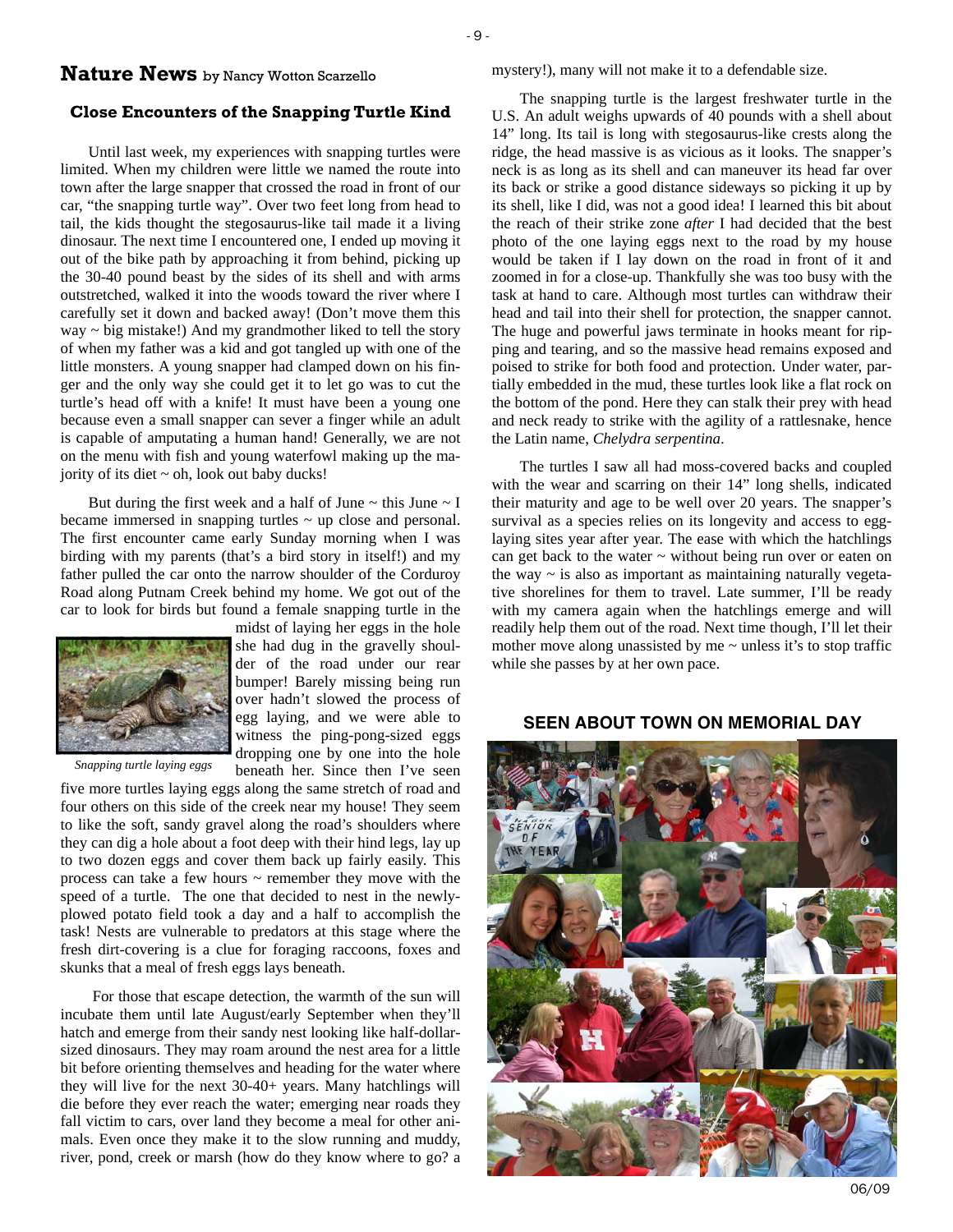# **Nature News** by Nancy Wotton Scarzello

#### **Close Encounters of the Snapping Turtle Kind**

Until last week, my experiences with snapping turtles were limited. When my children were little we named the route into town after the large snapper that crossed the road in front of our car, "the snapping turtle way". Over two feet long from head to tail, the kids thought the stegosaurus-like tail made it a living dinosaur. The next time I encountered one, I ended up moving it out of the bike path by approaching it from behind, picking up the 30-40 pound beast by the sides of its shell and with arms outstretched, walked it into the woods toward the river where I carefully set it down and backed away! (Don't move them this  $way \sim big$  mistake!) And my grandmother liked to tell the story of when my father was a kid and got tangled up with one of the little monsters. A young snapper had clamped down on his finger and the only way she could get it to let go was to cut the turtle's head off with a knife! It must have been a young one because even a small snapper can sever a finger while an adult is capable of amputating a human hand! Generally, we are not on the menu with fish and young waterfowl making up the majority of its diet  $\sim$  oh, look out baby ducks!

But during the first week and a half of June  $\sim$  this June  $\sim$  I became immersed in snapping turtles  $\sim$  up close and personal. The first encounter came early Sunday morning when I was birding with my parents (that's a bird story in itself!) and my father pulled the car onto the narrow shoulder of the Corduroy Road along Putnam Creek behind my home. We got out of the car to look for birds but found a female snapping turtle in the



*Snapping turtle laying eggs* 

midst of laying her eggs in the hole she had dug in the gravelly shoulder of the road under our rear bumper! Barely missing being run over hadn't slowed the process of egg laying, and we were able to witness the ping-pong-sized eggs dropping one by one into the hole beneath her. Since then I've seen

five more turtles laying eggs along the same stretch of road and four others on this side of the creek near my house! They seem to like the soft, sandy gravel along the road's shoulders where they can dig a hole about a foot deep with their hind legs, lay up to two dozen eggs and cover them back up fairly easily. This process can take a few hours ~ remember they move with the speed of a turtle. The one that decided to nest in the newlyplowed potato field took a day and a half to accomplish the task! Nests are vulnerable to predators at this stage where the fresh dirt-covering is a clue for foraging raccoons, foxes and skunks that a meal of fresh eggs lays beneath.

 For those that escape detection, the warmth of the sun will incubate them until late August/early September when they'll hatch and emerge from their sandy nest looking like half-dollarsized dinosaurs. They may roam around the nest area for a little bit before orienting themselves and heading for the water where they will live for the next 30-40+ years. Many hatchlings will die before they ever reach the water; emerging near roads they fall victim to cars, over land they become a meal for other animals. Even once they make it to the slow running and muddy, river, pond, creek or marsh (how do they know where to go? a mystery!), many will not make it to a defendable size.

The snapping turtle is the largest freshwater turtle in the U.S. An adult weighs upwards of 40 pounds with a shell about 14" long. Its tail is long with stegosaurus-like crests along the ridge, the head massive is as vicious as it looks. The snapper's neck is as long as its shell and can maneuver its head far over its back or strike a good distance sideways so picking it up by its shell, like I did, was not a good idea! I learned this bit about the reach of their strike zone *after* I had decided that the best photo of the one laying eggs next to the road by my house would be taken if I lay down on the road in front of it and zoomed in for a close-up. Thankfully she was too busy with the task at hand to care. Although most turtles can withdraw their head and tail into their shell for protection, the snapper cannot. The huge and powerful jaws terminate in hooks meant for ripping and tearing, and so the massive head remains exposed and poised to strike for both food and protection. Under water, partially embedded in the mud, these turtles look like a flat rock on the bottom of the pond. Here they can stalk their prey with head and neck ready to strike with the agility of a rattlesnake, hence the Latin name, *Chelydra serpentina*.

The turtles I saw all had moss-covered backs and coupled with the wear and scarring on their 14" long shells, indicated their maturity and age to be well over 20 years. The snapper's survival as a species relies on its longevity and access to egglaying sites year after year. The ease with which the hatchlings can get back to the water  $\sim$  without being run over or eaten on the way  $\sim$  is also as important as maintaining naturally vegetative shorelines for them to travel. Late summer, I'll be ready with my camera again when the hatchlings emerge and will readily help them out of the road. Next time though, I'll let their mother move along unassisted by me  $\sim$  unless it's to stop traffic while she passes by at her own pace.

## **SEEN ABOUT TOWN ON MEMORIAL DAY**